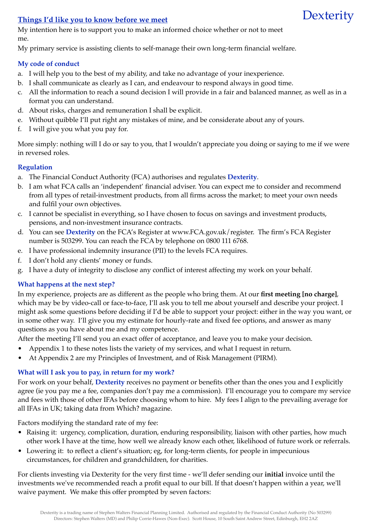# **Things I'd like you to know before we meet**

My intention here is to support you to make an informed choice whether or not to meet me.

My primary service is assisting clients to self-manage their own long-term financial welfare.

# **My code of conduct**

- a. I will help you to the best of my ability, and take no advantage of your inexperience.
- b. I shall communicate as clearly as I can, and endeavour to respond always in good time.
- c. All the information to reach a sound decision I will provide in a fair and balanced manner, as well as in a format you can understand.

**Dexterity** 

- d. About risks, charges and remuneration I shall be explicit.
- e. Without quibble I'll put right any mistakes of mine, and be considerate about any of yours.
- f. I will give you what you pay for.

More simply: nothing will I do or say to you, that I wouldn't appreciate you doing or saying to me if we were in reversed roles.

# **Regulation**

- a. The Financial Conduct Authority (FCA) authorises and regulates **Dexterity**.
- b. I am what FCA calls an 'independent' financial adviser. You can expect me to consider and recommend from all types of retail-investment products, from all firms across the market; to meet your own needs and fulfil your own objectives.
- c. I cannot be specialist in everything, so I have chosen to focus on savings and investment products, pensions, and non-investment insurance contracts.
- d. You can see **Dexterity** on the FCA's Register at [www.FCA.gov.uk/register.](http://www.fsa.gov.uk/register) The firm's FCA Register number is 503299. You can reach the FCA by telephone on 0800 111 6768.
- e. I have professional indemnity insurance (PII) to the levels FCA requires.
- f. I don't hold any clients' money or funds.
- g. I have a duty of integrity to disclose any conflict of interest affecting my work on your behalf.

## **What happens at the next step?**

In my experience, projects are as different as the people who bring them. At our **first meeting [no charge]**, which may be by video-call or face-to-face, I'll ask you to tell me about yourself and describe your project. I might ask some questions before deciding if I'd be able to support your project: either in the way you want, or in some other way. I'll give you my estimate for hourly-rate and fixed fee options, and answer as many questions as you have about me and my competence.

After the meeting I'll send you an exact offer of acceptance, and leave you to make your decision.

- Appendix 1 to these notes lists the variety of my services, and what I request in return.
- At Appendix 2 are my Principles of Investment, and of Risk Management (PIRM).

# **What will I ask you to pay, in return for my work?**

For work on your behalf, **Dexterity** receives no payment or benefits other than the ones you and I explicitly agree (ie you pay me a fee, companies don't pay me a commission). I'll encourage you to compare my service and fees with those of other IFAs before choosing whom to hire. My fees I align to the prevailing average for all IFAs in UK; taking data from Which? magazine.

Factors modifying the standard rate of my fee:

- Raising it: urgency, complication, duration, enduring responsibility, liaison with other parties, how much other work I have at the time, how well we already know each other, likelihood of future work or referrals.
- Lowering it: to reflect a client's situation; eg, for long-term clients, for people in impecunious circumstances, for children and grandchildren, for charities.

For clients investing via Dexterity for the very first time - we'll defer sending our **initial** invoice until the investments we've recommended reach a profit equal to our bill. If that doesn't happen within a year, we'll waive payment. We make this offer prompted by seven factors: